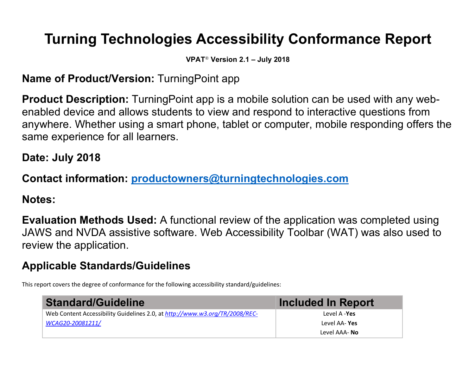# **Turning Technologies Accessibility Conformance Report**

**VPAT**® **Version 2.1 – July 2018**

### **Name of Product/Version:** TurningPoint app

**Product Description:** TurningPoint app is a mobile solution can be used with any webenabled device and allows students to view and respond to interactive questions from anywhere. Whether using a smart phone, tablet or computer, mobile responding offers the same experience for all learners.

## **Date: July 2018**

### **Contact information: productowners@turningtechnologies.com**

#### **Notes:**

**Evaluation Methods Used:** A functional review of the application was completed using JAWS and NVDA assistive software. Web Accessibility Toolbar (WAT) was also used to review the application.

### **Applicable Standards/Guidelines**

This report covers the degree of conformance for the following accessibility standard/guidelines:

| <b>Standard/Guideline</b>                                                   | Included In Report   |
|-----------------------------------------------------------------------------|----------------------|
| Web Content Accessibility Guidelines 2.0, at http://www.w3.org/TR/2008/REC- | Level A - <b>Yes</b> |
| WCAG20-20081211/                                                            | Level AA- Yes        |
|                                                                             | Level AAA- <b>No</b> |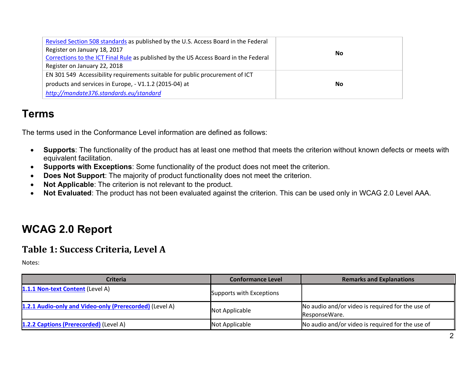| Revised Section 508 standards as published by the U.S. Access Board in the Federal<br>Register on January 18, 2017<br><b>No</b><br>Corrections to the ICT Final Rule as published by the US Access Board in the Federal<br>Register on January 22, 2018 |           |
|---------------------------------------------------------------------------------------------------------------------------------------------------------------------------------------------------------------------------------------------------------|-----------|
| EN 301 549 Accessibility requirements suitable for public procurement of ICT                                                                                                                                                                            |           |
| products and services in Europe, - V1.1.2 (2015-04) at                                                                                                                                                                                                  | <b>No</b> |
| http://mandate376.standards.eu/standard                                                                                                                                                                                                                 |           |

#### **Terms**

The terms used in the Conformance Level information are defined as follows:

- **Supports**: The functionality of the product has at least one method that meets the criterion without known defects or meets with equivalent facilitation.
- **Supports with Exceptions**: Some functionality of the product does not meet the criterion.
- **Does Not Support**: The majority of product functionality does not meet the criterion.
- **Not Applicable**: The criterion is not relevant to the product.
- **Not Evaluated**: The product has not been evaluated against the criterion. This can be used only in WCAG 2.0 Level AAA.

# **WCAG 2.0 Report**

#### Table 1: Success Criteria, Level A

Notes:

| <b>Criteria</b>                                         | <b>Conformance Level</b> | <b>Remarks and Explanations</b>                                   |
|---------------------------------------------------------|--------------------------|-------------------------------------------------------------------|
| 1.1.1 Non-text Content (Level A)                        | Supports with Exceptions |                                                                   |
| 1.2.1 Audio-only and Video-only (Prerecorded) (Level A) | Not Applicable           | No audio and/or video is required for the use of<br>ResponseWare. |
| 1.2.2 Captions (Prerecorded) (Level A)                  | Not Applicable           | No audio and/or video is required for the use of                  |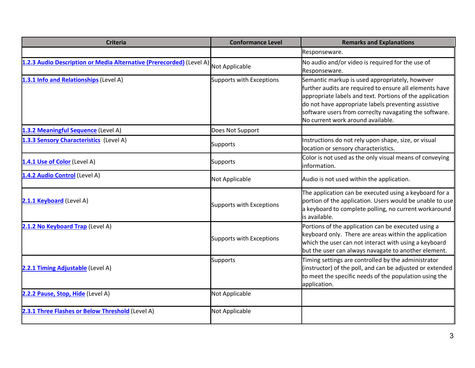| <b>Criteria</b>                                                      | <b>Conformance Level</b>        | <b>Remarks and Explanations</b>                                                                                                                                                                                                                                                                                             |
|----------------------------------------------------------------------|---------------------------------|-----------------------------------------------------------------------------------------------------------------------------------------------------------------------------------------------------------------------------------------------------------------------------------------------------------------------------|
|                                                                      |                                 | Responseware.                                                                                                                                                                                                                                                                                                               |
| 1.2.3 Audio Description or Media Alternative (Prerecorded) (Level A) | Not Applicable                  | No audio and/or video is required for the use of<br>Responseware.                                                                                                                                                                                                                                                           |
| 1.3.1 Info and Relationships (Level A)                               | <b>Supports with Exceptions</b> | Semantic markup is used appropriately, however<br>further audits are required to ensure all elements have<br>appropriate labels and text. Portions of the application<br>do not have appropriate labels preventing assistive<br>software users from correclty navagating the software.<br>No current work around available. |
| 1.3.2 Meaningful Sequence (Level A)                                  | Does Not Support                |                                                                                                                                                                                                                                                                                                                             |
| 1.3.3 Sensory Characteristics (Level A)                              | <b>Supports</b>                 | Instructions do not rely upon shape, size, or visual<br>location or sensory characteristics.                                                                                                                                                                                                                                |
| 1.4.1 Use of Color (Level A)                                         | <b>Supports</b>                 | Color is not used as the only visual means of conveying<br>information.                                                                                                                                                                                                                                                     |
| 1.4.2 Audio Control (Level A)                                        | Not Applicable                  | Audio is not used within the application.                                                                                                                                                                                                                                                                                   |
| 2.1.1 Keyboard (Level A)                                             | <b>Supports with Exceptions</b> | The application can be executed using a keyboard for a<br>portion of the application. Users would be unable to use<br>a keyboard to complete polling, no current workaround<br>is available.                                                                                                                                |
| 2.1.2 No Keyboard Trap (Level A)                                     | Supports with Exceptions        | Portions of the application can be executed using a<br>keyboard only. There are areas within the application<br>which the user can not interact with using a keyboard<br>but the user can always navagate to another element.                                                                                               |
| 2.2.1 Timing Adjustable (Level A)                                    | <b>Supports</b>                 | Timing settings are controlled by the administrator<br>(instructor) of the poll, and can be adjusted or extended<br>to meet the specific needs of the population using the<br>application.                                                                                                                                  |
| 2.2.2 Pause, Stop, Hide (Level A)                                    | Not Applicable                  |                                                                                                                                                                                                                                                                                                                             |
| 2.3.1 Three Flashes or Below Threshold (Level A)                     | Not Applicable                  |                                                                                                                                                                                                                                                                                                                             |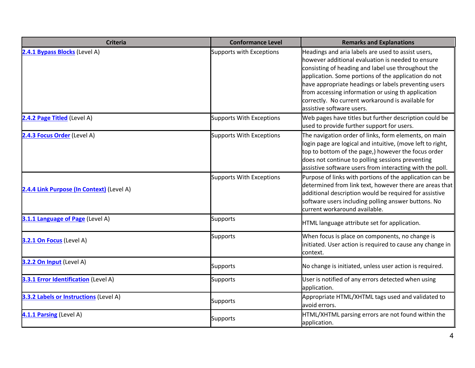| <b>Criteria</b>                             | <b>Conformance Level</b>        | <b>Remarks and Explanations</b>                                                                                                                                                                                                                                                                                                                                                                                       |
|---------------------------------------------|---------------------------------|-----------------------------------------------------------------------------------------------------------------------------------------------------------------------------------------------------------------------------------------------------------------------------------------------------------------------------------------------------------------------------------------------------------------------|
| 2.4.1 Bypass Blocks (Level A)               | <b>Supports with Exceptions</b> | Headings and aria labels are used to assist users,<br>however additional evaluation is needed to ensure<br>consisting of heading and label use throughout the<br>application. Some portions of the application do not<br>have appropriate headings or labels preventing users<br>from accessing information or using th application<br>correctly. No current workaround is available for<br>assistive software users. |
| 2.4.2 Page Titled (Level A)                 | <b>Supports With Exceptions</b> | Web pages have titles but further description could be<br>used to provide further support for users.                                                                                                                                                                                                                                                                                                                  |
| 2.4.3 Focus Order (Level A)                 | <b>Supports With Exceptions</b> | The navigation order of links, form elements, on main<br>login page are logical and intuitive, (move left to right,<br>top to bottom of the page,) however the focus order<br>does not continue to polling sessions preventing<br>assistive software users from interacting with the poll.                                                                                                                            |
| 2.4.4 Link Purpose (In Context) (Level A)   | <b>Supports With Exceptions</b> | Purpose of links with portions of the application can be<br>determined from link text, however there are areas that<br>additional description would be required for assistive<br>software users including polling answer buttons. No<br>current workaround available.                                                                                                                                                 |
| 3.1.1 Language of Page (Level A)            | <b>Supports</b>                 | HTML language attribute set for application.                                                                                                                                                                                                                                                                                                                                                                          |
| 3.2.1 On Focus (Level A)                    | <b>Supports</b>                 | When focus is place on components, no change is<br>initiated. User action is required to cause any change in<br>context.                                                                                                                                                                                                                                                                                              |
| 3.2.2 On Input (Level A)                    | <b>Supports</b>                 | No change is initiated, unless user action is required.                                                                                                                                                                                                                                                                                                                                                               |
| <b>3.3.1 Error Identification (Level A)</b> | <b>Supports</b>                 | User is notified of any errors detected when using<br>application.                                                                                                                                                                                                                                                                                                                                                    |
| 3.3.2 Labels or Instructions (Level A)      | <b>Supports</b>                 | Appropriate HTML/XHTML tags used and validated to<br>avoid errors.                                                                                                                                                                                                                                                                                                                                                    |
| 4.1.1 Parsing (Level A)                     | <b>Supports</b>                 | HTML/XHTML parsing errors are not found within the<br>application.                                                                                                                                                                                                                                                                                                                                                    |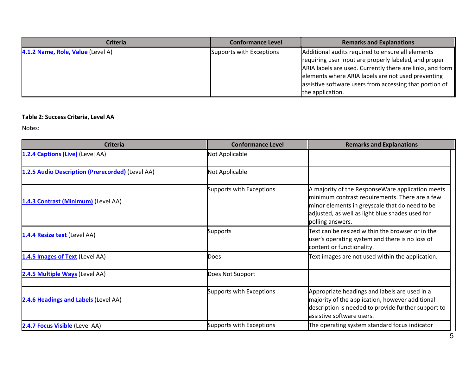| <b>Criteria</b>                   | <b>Conformance Level</b> | <b>Remarks and Explanations</b>                                                                                                                                                                                                                                                                                          |
|-----------------------------------|--------------------------|--------------------------------------------------------------------------------------------------------------------------------------------------------------------------------------------------------------------------------------------------------------------------------------------------------------------------|
| 4.1.2 Name, Role, Value (Level A) | Supports with Exceptions | Additional audits required to ensure all elements<br>requiring user input are properly labeled, and proper<br>ARIA labels are used. Currently there are links, and form $\parallel$<br>elements where ARIA labels are not used preventing<br>assistive software users from accessing that portion of<br>the application. |

#### **Table 2: Success Criteria, Level AA**

Notes:

| <b>Criteria</b>                                  | <b>Conformance Level</b>        | <b>Remarks and Explanations</b>                                                                                                                                                                                             |
|--------------------------------------------------|---------------------------------|-----------------------------------------------------------------------------------------------------------------------------------------------------------------------------------------------------------------------------|
| 1.2.4 Captions (Live) (Level AA)                 | Not Applicable                  |                                                                                                                                                                                                                             |
| 1.2.5 Audio Description (Prerecorded) (Level AA) | Not Applicable                  |                                                                                                                                                                                                                             |
| 1.4.3 Contrast (Minimum) (Level AA)              | Supports with Exceptions        | A majority of the ResponseWare application meets<br>minimum contrast requirements. There are a few<br>minor elements in greyscale that do need to be<br>adjusted, as well as light blue shades used for<br>polling answers. |
| 1.4.4 Resize text (Level AA)                     | <b>Supports</b>                 | Text can be resized within the browser or in the<br>user's operating system and there is no loss of<br>content or functionality.                                                                                            |
| 1.4.5 Images of Text (Level AA)                  | Does                            | Text images are not used within the application.                                                                                                                                                                            |
| 2.4.5 Multiple Ways (Level AA)                   | Does Not Support                |                                                                                                                                                                                                                             |
| 2.4.6 Headings and Labels (Level AA)             | <b>Supports with Exceptions</b> | Appropriate headings and labels are used in a<br>majority of the application, however additional<br>description is needed to provide further support to<br>assistive software users.                                        |
| 2.4.7 Focus Visible (Level AA)                   | Supports with Exceptions        | The operating system standard focus indicator                                                                                                                                                                               |